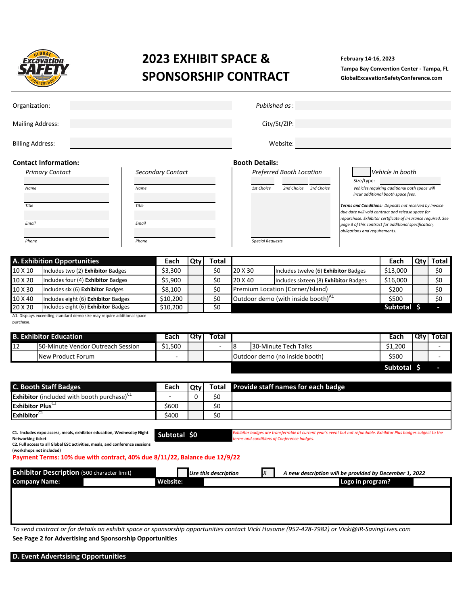

# **2023 EXHIBIT SPACE & SPONSORSHIP CONTRACT**

**February 14-16, 2023 Tampa Bay Convention Center - Tampa, FL GlobalExcavationSafetyConference.com**

|                         | $-$                           |                                                                                                               |          |                   |          |                      |                       |                                                                                                                     |                                                                                                                       |                                                                                     |            |                |  |  |
|-------------------------|-------------------------------|---------------------------------------------------------------------------------------------------------------|----------|-------------------|----------|----------------------|-----------------------|---------------------------------------------------------------------------------------------------------------------|-----------------------------------------------------------------------------------------------------------------------|-------------------------------------------------------------------------------------|------------|----------------|--|--|
| Organization:           |                               |                                                                                                               |          |                   |          |                      | Published as:         |                                                                                                                     |                                                                                                                       |                                                                                     |            |                |  |  |
|                         | <b>Mailing Address:</b>       |                                                                                                               |          |                   |          |                      |                       | City/St/ZIP:                                                                                                        |                                                                                                                       |                                                                                     |            |                |  |  |
|                         |                               |                                                                                                               |          |                   |          |                      |                       |                                                                                                                     |                                                                                                                       |                                                                                     |            |                |  |  |
|                         | <b>Billing Address:</b>       |                                                                                                               |          |                   |          |                      |                       | Website:                                                                                                            |                                                                                                                       |                                                                                     |            |                |  |  |
|                         | <b>Contact Information:</b>   |                                                                                                               |          |                   |          |                      | <b>Booth Details:</b> |                                                                                                                     |                                                                                                                       |                                                                                     |            |                |  |  |
|                         | <b>Primary Contact</b>        |                                                                                                               |          | Secondary Contact |          |                      |                       | Preferred Booth Location                                                                                            |                                                                                                                       | Vehicle in booth                                                                    |            |                |  |  |
|                         |                               |                                                                                                               |          |                   |          |                      |                       |                                                                                                                     | Size/type:                                                                                                            |                                                                                     |            |                |  |  |
|                         | Name                          |                                                                                                               | Name     |                   |          |                      | 1st Choice            | 2nd Choice 3rd Choice                                                                                               |                                                                                                                       | Vehicles requiring additional both space will<br>incur additional booth space fees. |            |                |  |  |
|                         | Title                         |                                                                                                               | Title    |                   |          |                      |                       |                                                                                                                     | Terms and Conditions: Deposits not received by invoice                                                                |                                                                                     |            |                |  |  |
|                         |                               |                                                                                                               |          |                   |          |                      |                       |                                                                                                                     | due date will void contract and release space for                                                                     |                                                                                     |            |                |  |  |
|                         | Email                         |                                                                                                               | Email    |                   |          |                      |                       |                                                                                                                     | repurchase. Exhibitor certificate of insurance required. See<br>page 3 of this contract for additional specification, |                                                                                     |            |                |  |  |
|                         |                               |                                                                                                               |          |                   |          |                      |                       |                                                                                                                     | obligations and requirements.                                                                                         |                                                                                     |            |                |  |  |
|                         | Phone                         |                                                                                                               | Phone    |                   |          |                      |                       | <b>Special Requests</b>                                                                                             |                                                                                                                       |                                                                                     |            |                |  |  |
|                         |                               |                                                                                                               |          |                   |          |                      |                       |                                                                                                                     |                                                                                                                       |                                                                                     |            |                |  |  |
|                         | A. Exhibition Opportunities   |                                                                                                               |          | Each              | Qty      | <b>Total</b>         |                       |                                                                                                                     |                                                                                                                       | Each                                                                                | Qty        | <b>Total</b>   |  |  |
| 10 X 10                 |                               | Includes two (2) Exhibitor Badges                                                                             |          | \$3,300           |          | \$0                  | 20 X 30               | Includes twelve (6) Exhibitor Badges                                                                                |                                                                                                                       | \$13,000                                                                            |            | \$0            |  |  |
| 10 X 20                 |                               | Includes four (4) Exhibitor Badges                                                                            |          | \$5,900           |          | \$0                  | 20 X 40               | Includes sixteen (8) Exhibitor Badges                                                                               |                                                                                                                       | \$16,000                                                                            |            | \$0            |  |  |
| 10 X 30                 |                               | Includes six (6) Exhibitor Badges                                                                             |          | \$8,100           |          | \$0                  |                       | Premium Location (Corner/Island)                                                                                    |                                                                                                                       | \$200                                                                               |            | \$0            |  |  |
| 10 X 40                 |                               | Includes eight (6) Exhibitor Badges                                                                           |          | \$10,200          |          | \$0                  |                       | Outdoor demo (with inside booth) <sup>41</sup>                                                                      |                                                                                                                       | \$500                                                                               |            | \$0            |  |  |
| 20 X 20                 |                               | Includes eight (6) Exhibitor Badges<br>A1. Displays exceeding standard demo size may require additional space |          | \$10,200          |          | \$0                  |                       |                                                                                                                     |                                                                                                                       | Subtotal \$                                                                         |            |                |  |  |
| purchase.               |                               |                                                                                                               |          |                   |          |                      |                       |                                                                                                                     |                                                                                                                       |                                                                                     |            |                |  |  |
|                         | <b>B. Exhibitor Education</b> |                                                                                                               |          | Each              |          |                      |                       |                                                                                                                     |                                                                                                                       | Each                                                                                | <b>Qty</b> |                |  |  |
| $\overline{12}$         |                               | 50-Minute Vendor Outreach Session                                                                             |          | \$1,500           | Qty      | Total                | 8                     | 30-Minute Tech Talks                                                                                                |                                                                                                                       | \$1,200                                                                             |            | Total          |  |  |
|                         |                               |                                                                                                               |          |                   |          |                      |                       |                                                                                                                     |                                                                                                                       |                                                                                     |            | $\blacksquare$ |  |  |
|                         | New Product Forum             |                                                                                                               |          |                   |          |                      |                       | Outdoor demo (no inside booth)                                                                                      |                                                                                                                       | \$500                                                                               |            |                |  |  |
|                         |                               |                                                                                                               |          |                   |          |                      |                       |                                                                                                                     |                                                                                                                       | Subtotal \$                                                                         |            |                |  |  |
|                         | <b>C. Booth Staff Badges</b>  |                                                                                                               |          |                   |          |                      |                       | Provide staff names for each badge                                                                                  |                                                                                                                       |                                                                                     |            |                |  |  |
|                         |                               | Exhibitor (included with booth purchase) <sup>C1</sup>                                                        |          | Each              | Qty<br>0 | <b>Total</b><br>\$0  |                       |                                                                                                                     |                                                                                                                       |                                                                                     |            |                |  |  |
|                         | Exhibitor Plus <sup>C2</sup>  |                                                                                                               |          | \$600             |          | \$0                  |                       |                                                                                                                     |                                                                                                                       |                                                                                     |            |                |  |  |
| Exhibitor <sup>C1</sup> |                               |                                                                                                               |          | \$400             |          | \$0                  |                       |                                                                                                                     |                                                                                                                       |                                                                                     |            |                |  |  |
|                         |                               |                                                                                                               |          |                   |          |                      |                       |                                                                                                                     |                                                                                                                       |                                                                                     |            |                |  |  |
|                         |                               | C1. Includes expo access, meals, exhibitor education, Wednesday Night                                         |          | Subtotal \$0      |          |                      |                       | Exhibitor badges are transferrable at current year's event but not refundable. Exhibitor Plus badges subject to the |                                                                                                                       |                                                                                     |            |                |  |  |
|                         | <b>Networking ticket</b>      | C2. Full access to all Global ESC activities, meals, and conference sessions                                  |          |                   |          |                      |                       | erms and conditions of Conference badges.                                                                           |                                                                                                                       |                                                                                     |            |                |  |  |
|                         | (workshops not included)      | Payment Terms: 10% due with contract, 40% due 8/11/22, Balance due 12/9/22                                    |          |                   |          |                      |                       |                                                                                                                     |                                                                                                                       |                                                                                     |            |                |  |  |
|                         |                               |                                                                                                               |          |                   |          |                      |                       |                                                                                                                     |                                                                                                                       |                                                                                     |            |                |  |  |
|                         |                               | <b>Exhibitor Description</b> (500 character limit)                                                            |          |                   |          | Use this description |                       | X<br>A new description will be provided by December 1, 2022                                                         |                                                                                                                       |                                                                                     |            |                |  |  |
| <b>Company Name:</b>    |                               |                                                                                                               | Website: |                   |          |                      |                       | Logo in program?                                                                                                    |                                                                                                                       |                                                                                     |            |                |  |  |
|                         |                               |                                                                                                               |          |                   |          |                      |                       |                                                                                                                     |                                                                                                                       |                                                                                     |            |                |  |  |
|                         |                               |                                                                                                               |          |                   |          |                      |                       |                                                                                                                     |                                                                                                                       |                                                                                     |            |                |  |  |
|                         |                               |                                                                                                               |          |                   |          |                      |                       |                                                                                                                     |                                                                                                                       |                                                                                     |            |                |  |  |
|                         |                               |                                                                                                               |          |                   |          |                      |                       |                                                                                                                     |                                                                                                                       |                                                                                     |            |                |  |  |

*To send contract or for details on exhibit space or sponsorship opportunities contact Vicki Husome (952-428-7982) or Vicki@IR-SavingLives.com* **See Page 2 for Advertising and Sponsorship Opportunities**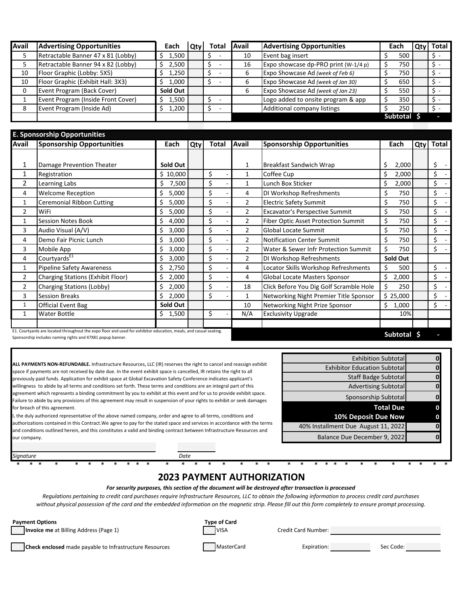| Avail | <b>Advertising Opportunities</b>   | Each     | Qtv ' | Total | Avail | <b>Advertising Opportunities</b>     | Each |          | Qty Total |
|-------|------------------------------------|----------|-------|-------|-------|--------------------------------------|------|----------|-----------|
|       | Retractable Banner 47 x 81 (Lobby) | 1.500    |       |       | 10    | Event bag insert                     |      | 500      |           |
|       | Retractable Banner 94 x 82 (Lobby) | 2,500    |       |       | 16    | Expo showcase dp-PRO print (W-1/4 p) |      | 750      |           |
| 10    | Floor Graphic (Lobby: 5X5)         | 1.250    |       |       |       | Expo Showcase Ad (week of Feb 6)     |      | 750      |           |
| 10    | Floor Graphic (Exhibit Hall: 3X3)  | 1.000    |       |       |       | Expo Showcase Ad (week of Jan 30)    |      | 650      |           |
|       | Event Program (Back Cover)         | Sold Out |       |       |       | Expo Showcase Ad (week of Jan 23)    |      | 550      |           |
|       | Event Program (Inside Front Cover) | L.500    |       |       |       | Logo added to onsite program & app   |      | 350      |           |
| 8     | Event Program (Inside Ad)          | L,200    |       |       |       | Additional company listings          |      | 250      |           |
|       |                                    |          |       |       |       |                                      |      | Subtotal |           |

| Avail          | <b>Sponsorship Opportunities</b>                                                                                                                                                | Each        | Qty | <b>Total</b> | Avail          | <b>Sponsorship Opportunities</b>           | Each            | Qty | <b>Total</b> |
|----------------|---------------------------------------------------------------------------------------------------------------------------------------------------------------------------------|-------------|-----|--------------|----------------|--------------------------------------------|-----------------|-----|--------------|
|                |                                                                                                                                                                                 |             |     |              |                |                                            |                 |     |              |
| 1              | Damage Prevention Theater                                                                                                                                                       | Sold Out    |     |              | 1              | <b>Breakfast Sandwich Wrap</b>             | 2,000<br>Ś      |     | \$           |
| 1              | Registration                                                                                                                                                                    | \$10,000    |     | \$           | $\mathbf{1}$   | Coffee Cup                                 | Ś<br>2,000      |     | \$           |
| $\overline{2}$ | Learning Labs                                                                                                                                                                   | Ś<br>7,500  |     | \$           | $\mathbf{1}$   | Lunch Box Sticker                          | Ś.<br>2,000     |     | \$           |
| 4              | <b>Welcome Reception</b>                                                                                                                                                        | Ś<br>5,000  |     | \$           | 4              | DI Workshop Refreshments                   | Ś<br>750        |     | \$           |
| $\mathbf{1}$   | <b>Ceremonial Ribbon Cutting</b>                                                                                                                                                | Ś<br>5,000  |     | \$           | $\overline{2}$ | <b>Electric Safety Summit</b>              | 750             |     | \$           |
| $\overline{2}$ | WiFi                                                                                                                                                                            | Ś.<br>5,000 |     | \$           | $\overline{2}$ | <b>Excavator's Perspective Summit</b>      | Ś<br>750        |     | \$           |
| $\mathbf{1}$   | <b>Session Notes Book</b>                                                                                                                                                       | Ś<br>4,000  |     | \$           | $\overline{2}$ | <b>Fiber Optic Asset Protection Summit</b> | \$<br>750       |     | \$           |
| 3              | Audio Visual (A/V)                                                                                                                                                              | \$<br>3,000 |     | \$           | $\overline{2}$ | <b>Global Locate Summit</b>                | Ś<br>750        |     | \$           |
| 4              | Demo Fair Picnic Lunch                                                                                                                                                          | Ś<br>3,000  |     | \$           | $\overline{2}$ | <b>Notification Center Summit</b>          | Ś<br>750        |     | \$           |
| 3              | Mobile App                                                                                                                                                                      | Ś<br>3,000  |     | \$           | 2              | Water & Sewer Infr Protection Summit       | Ś<br>750        |     | \$           |
| 4              | Courtyards <sup>E1</sup>                                                                                                                                                        | \$<br>3,000 |     | \$           | $\overline{2}$ | DI Workshop Refreshments                   | Sold Out        |     |              |
| 1              | <b>Pipeline Safety Awareness</b>                                                                                                                                                | Ŝ.<br>2,750 |     | \$           | 4              | Locator Skills Workshop Refreshments       | ς<br>500        |     | \$           |
| $\overline{2}$ | <b>Charging Stations (Exhibit Floor)</b>                                                                                                                                        | Ś<br>2,000  |     | \$           | 4              | Global Locate Masters Sponsor              | Ś<br>2,000      |     | \$           |
| 2              | Charging Stations (Lobby)                                                                                                                                                       | Ś.<br>2,000 |     | \$           | 18             | Click Before You Dig Golf Scramble Hole    | Ś<br>250        |     | \$           |
| 3              | <b>Session Breaks</b>                                                                                                                                                           | Ś<br>2,000  |     | \$           | $\mathbf{1}$   | Networking Night Premier Title Sponsor     | \$25,000        |     | \$           |
| 1              | <b>Official Event Bag</b>                                                                                                                                                       | Sold Out    |     |              | 10             | Networking Night Prize Sponsor             | Ś<br>1,000      |     | \$           |
| $\mathbf{1}$   | <b>Water Bottle</b>                                                                                                                                                             | 1,500<br>Ś. |     | \$           | N/A            | <b>Exclusivity Upgrade</b>                 | 10%             |     |              |
|                |                                                                                                                                                                                 |             |     |              |                |                                            |                 |     |              |
|                | E1. Courtyards are located throughout the expo floor and used for exhibitor education, meals, and casual seating.<br>Sponsorship includes naming rights and 47X81 popup banner. |             |     |              |                |                                            | <b>Subtotal</b> |     |              |

Sponsorship includes naming rights and 47X81 popup banner. **\$ -**

**ALL PAYMENTS NON-REFUNDABLE.** Infrastructure Resources, LLC (IR) reserves the right to cancel and reassign exhibit space if payments are not received by date due. In the event exhibit space is cancelled, IR retains the right to all previously paid funds. Application for exhibit space at Global Excavation Safety Conference indicates applicant's willingness to abide by all terms and conditions set forth. These terms and conditions are an integral part of this agreement which represents a binding commitment by you to exhibit at this event and for us to provide exhibit space. Failure to abide by any provisions of this agreement may result in suspension of your rights to exhibit or seek damages for breach of this agreement.

the duly authorized representative of the above named company, order and agree to all terms, conditions and authorizations contained in this Contract.We agree to pay for the stated space and services in accordance with the terms and conditions outlined herein, and this constitutes a valid and binding contract between Infrastructure Resources and our company.

|   | <b>Exhibition Subtotal</b>          |
|---|-------------------------------------|
|   | <b>Exhibitor Education Subtotal</b> |
|   | <b>Staff Badge Subtotal</b>         |
|   | <b>Advertising Subtotal</b>         |
|   | Sponsorship Subtotal                |
| 0 | <b>Total Due</b>                    |
|   | 10% Deposit Due Now                 |
|   | 40% Installment Due August 11, 2022 |
|   | Balance Due December 9, 2022        |

## \* \* \* \* \* \* \* \* \* \* \* \* \* \* \* \* \* \* \* \* \* \* \* \* \* \* \* \* \* \* \* \* **2023 PAYMENT AUTHORIZATION**

*For security purposes, this section of the document will be destroyed after transaction is processed*

*Regulations pertaining to credit card purchases require Infrastructure Resources, LLC to obtain the following information to process credit card purchases without physical possession of the card and the embedded information on the magnetic strip. Please fill out this form completely to ensure prompt processing.*

**Invoice me** at Billing Address (Page 1) **VISA** VISA Credit Card Number:

**Payment Options Type of Card**

**Check enclosed** made payable to Infrastructure Resources MasterCard Expiration: Sec Code:

*Signature Date*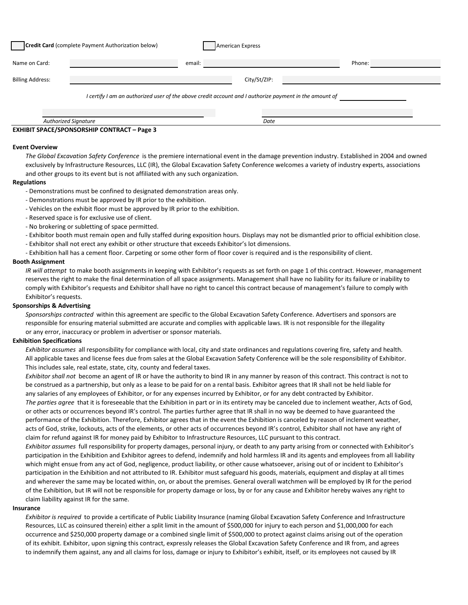| Credit Card (complete Payment Authorization below) |                                                                                                        |        | American Express |        |  |
|----------------------------------------------------|--------------------------------------------------------------------------------------------------------|--------|------------------|--------|--|
| Name on Card:                                      |                                                                                                        | email: |                  | Phone: |  |
| <b>Billing Address:</b>                            |                                                                                                        |        | City/St/ZIP:     |        |  |
|                                                    | I certify I am an authorized user of the above credit account and I authorize payment in the amount of |        |                  |        |  |
|                                                    | <b>Authorized Signature</b>                                                                            |        | Date             |        |  |

#### **EXHIBIT SPACE/SPONSORSHIP CONTRACT – Page 3**

#### **Event Overview**

*The Global Excavation Safety Conference* is the premiere international event in the damage prevention industry. Established in 2004 and owned exclusively by Infrastructure Resources, LLC (IR), the Global Excavation Safety Conference welcomes a variety of industry experts, associations and other groups to its event but is not affiliated with any such organization.

#### **Regulations**

- Demonstrations must be confined to designated demonstration areas only.
- Demonstrations must be approved by IR prior to the exhibition.
- Vehicles on the exhibit floor must be approved by IR prior to the exhibition.
- Reserved space is for exclusive use of client.
- No brokering or subletting of space permitted.
- Exhibitor booth must remain open and fully staffed during exposition hours. Displays may not be dismantled prior to official exhibition close.
- Exhibitor shall not erect any exhibit or other structure that exceeds Exhibitor's lot dimensions.
- Exhibition hall has a cement floor. Carpeting or some other form of floor cover is required and is the responsibility of client.

#### **Booth Assignment**

*IR will attempt* to make booth assignments in keeping with Exhibitor's requests as set forth on page 1 of this contract. However, management reserves the right to make the final determination of all space assignments. Management shall have no liability for its failure or inability to comply with Exhibitor's requests and Exhibitor shall have no right to cancel this contract because of management's failure to comply with Exhibitor's requests.

#### **Sponsorships & Advertising**

*Sponsorships contracted* within this agreement are specific to the Global Excavation Safety Conference. Advertisers and sponsors are responsible for ensuring material submitted are accurate and complies with applicable laws. IR is not responsible for the illegality or any error, inaccuracy or problem in advertiser or sponsor materials.

#### **Exhibition Specifications**

*Exhibitor assumes* all responsibility for compliance with local, city and state ordinances and regulations covering fire, safety and health. All applicable taxes and license fees due from sales at the Global Excavation Safety Conference will be the sole responsibility of Exhibitor. This includes sale, real estate, state, city, county and federal taxes.

*Exhibitor shall not* become an agent of IR or have the authority to bind IR in any manner by reason of this contract. This contract is not to be construed as a partnership, but only as a lease to be paid for on a rental basis. Exhibitor agrees that IR shall not be held liable for any salaries of any employees of Exhibitor, or for any expenses incurred by Exhibitor, or for any debt contracted by Exhibitor.

*The parties agree* that it is foreseeable that the Exhibition in part or in its entirety may be canceled due to inclement weather, Acts of God, or other acts or occurrences beyond IR's control. The parties further agree that IR shall in no way be deemed to have guaranteed the performance of the Exhibition. Therefore, Exhibitor agrees that in the event the Exhibition is canceled by reason of inclement weather, acts of God, strike, lockouts, acts of the elements, or other acts of occurrences beyond IR's control, Exhibitor shall not have any right of claim for refund against IR for money paid by Exhibitor to Infrastructure Resources, LLC pursuant to this contract.

*Exhibitor assumes* full responsibility for property damages, personal injury, or death to any party arising from or connected with Exhibitor's participation in the Exhibition and Exhibitor agrees to defend, indemnify and hold harmless IR and its agents and employees from all liability which might ensue from any act of God, negligence, product liability, or other cause whatsoever, arising out of or incident to Exhibitor's participation in the Exhibition and not attributed to IR. Exhibitor must safeguard his goods, materials, equipment and display at all times and wherever the same may be located within, on, or about the premises. General overall watchmen will be employed by IR for the period of the Exhibition, but IR will not be responsible for property damage or loss, by or for any cause and Exhibitor hereby waives any right to claim liability against IR for the same.

#### **Insurance**

*Exhibitor is required* to provide a certificate of Public Liability Insurance (naming Global Excavation Safety Conference and Infrastructure Resources, LLC as coinsured therein) either a split limit in the amount of \$500,000 for injury to each person and \$1,000,000 for each occurrence and \$250,000 property damage or a combined single limit of \$500,000 to protect against claims arising out of the operation of its exhibit. Exhibitor, upon signing this contract, expressly releases the Global Excavation Safety Conference and IR from, and agrees to indemnify them against, any and all claims for loss, damage or injury to Exhibitor's exhibit, itself, or its employees not caused by IR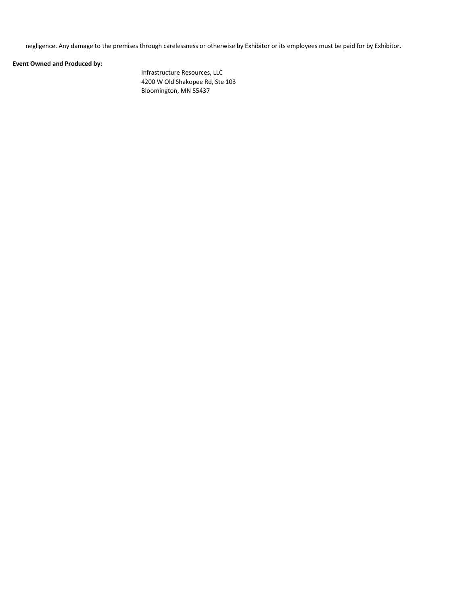negligence. Any damage to the premises through carelessness or otherwise by Exhibitor or its employees must be paid for by Exhibitor.

### **Event Owned and Produced by:**

Infrastructure Resources, LLC 4200 W Old Shakopee Rd, Ste 103 Bloomington, MN 55437